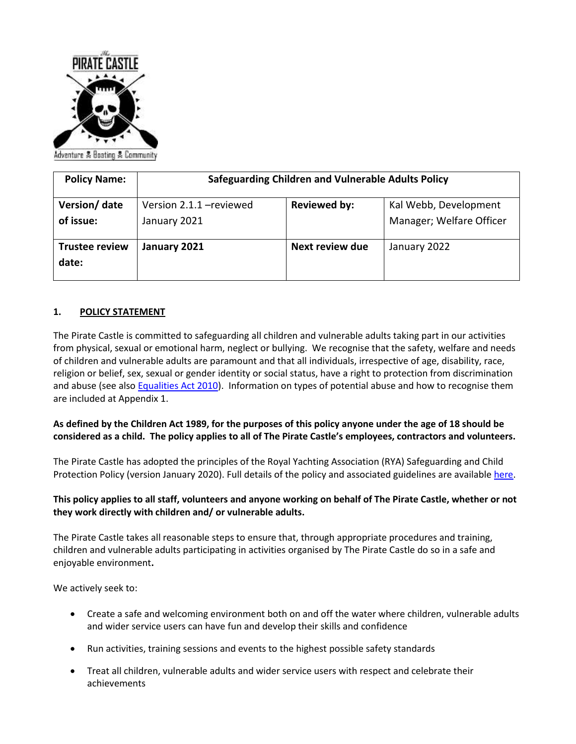

| <b>Policy Name:</b>            | <b>Safeguarding Children and Vulnerable Adults Policy</b> |                     |                          |
|--------------------------------|-----------------------------------------------------------|---------------------|--------------------------|
| Version/ date                  | Version 2.1.1 - reviewed                                  | <b>Reviewed by:</b> | Kal Webb, Development    |
| of issue:                      | January 2021                                              |                     | Manager; Welfare Officer |
| <b>Trustee review</b><br>date: | January 2021                                              | Next review due     | January 2022             |

### **1. POLICY STATEMENT**

The Pirate Castle is committed to safeguarding all children and vulnerable adults taking part in our activities from physical, sexual or emotional harm, neglect or bullying. We recognise that the safety, welfare and needs of children and vulnerable adults are paramount and that all individuals, irrespective of age, disability, race, religion or belief, sex, sexual or gender identity or social status, have a right to protection from discrimination and abuse (see als[o Equalities Act 2010\)](https://www.equalityhumanrights.com/sites/default/files/what_equality_law_means_for_your_vol_or_community_sector_organisation.pdf). Information on types of potential abuse and how to recognise them are included at Appendix 1.

### **As defined by the Children Act 1989, for the purposes of this policy anyone under the age of 18 should be considered as a child. The policy applies to all of The Pirate Castle's employees, contractors and volunteers.**

The Pirate Castle has adopted the principles of the Royal Yachting Association (RYA) Safeguarding and Child Protection Policy (version January 2020). Full details of the policy and associated guidelines are available [here.](https://www.rya.org.uk/SiteCollectionDocuments/hr-administration/administration/child-protection-guidelines/RYA%20Safeguarding%20and%20Child%20Protection%20Guidelines%20Jan%202020.pdf)

### **This policy applies to all staff, volunteers and anyone working on behalf of The Pirate Castle, whether or not they work directly with children and/ or vulnerable adults.**

The Pirate Castle takes all reasonable steps to ensure that, through appropriate procedures and training, children and vulnerable adults participating in activities organised by The Pirate Castle do so in a safe and enjoyable environment**.** 

We actively seek to:

- Create a safe and welcoming environment both on and off the water where children, vulnerable adults and wider service users can have fun and develop their skills and confidence
- Run activities, training sessions and events to the highest possible safety standards
- Treat all children, vulnerable adults and wider service users with respect and celebrate their achievements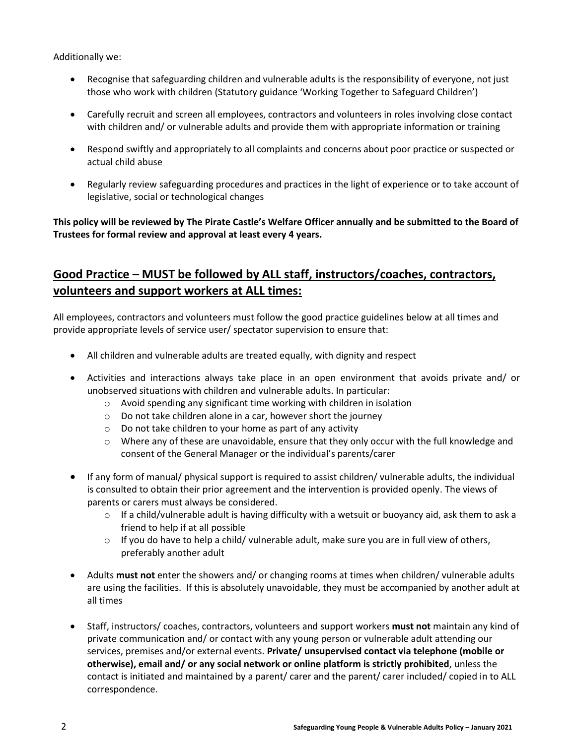Additionally we:

- Recognise that safeguarding children and vulnerable adults is the responsibility of everyone, not just those who work with children (Statutory guidance 'Working Together to Safeguard Children')
- Carefully recruit and screen all employees, contractors and volunteers in roles involving close contact with children and/ or vulnerable adults and provide them with appropriate information or training
- Respond swiftly and appropriately to all complaints and concerns about poor practice or suspected or actual child abuse
- Regularly review safeguarding procedures and practices in the light of experience or to take account of legislative, social or technological changes

# **This policy will be reviewed by The Pirate Castle's Welfare Officer annually and be submitted to the Board of Trustees for formal review and approval at least every 4 years.**

# **Good Practice – MUST be followed by ALL staff, instructors/coaches, contractors, volunteers and support workers at ALL times:**

All employees, contractors and volunteers must follow the good practice guidelines below at all times and provide appropriate levels of service user/ spectator supervision to ensure that:

- All children and vulnerable adults are treated equally, with dignity and respect
- Activities and interactions always take place in an open environment that avoids private and/ or unobserved situations with children and vulnerable adults. In particular:
	- o Avoid spending any significant time working with children in isolation
	- o Do not take children alone in a car, however short the journey
	- o Do not take children to your home as part of any activity
	- $\circ$  Where any of these are unavoidable, ensure that they only occur with the full knowledge and consent of the General Manager or the individual's parents/carer
- If any form of manual/ physical support is required to assist children/ vulnerable adults, the individual is consulted to obtain their prior agreement and the intervention is provided openly. The views of parents or carers must always be considered.
	- $\circ$  If a child/vulnerable adult is having difficulty with a wetsuit or buoyancy aid, ask them to ask a friend to help if at all possible
	- $\circ$  If you do have to help a child/ vulnerable adult, make sure you are in full view of others, preferably another adult
- Adults **must not** enter the showers and/ or changing rooms at times when children/ vulnerable adults are using the facilities. If this is absolutely unavoidable, they must be accompanied by another adult at all times
- Staff, instructors/ coaches, contractors, volunteers and support workers **must not** maintain any kind of private communication and/ or contact with any young person or vulnerable adult attending our services, premises and/or external events. **Private/ unsupervised contact via telephone (mobile or otherwise), email and/ or any social network or online platform is strictly prohibited**, unless the contact is initiated and maintained by a parent/ carer and the parent/ carer included/ copied in to ALL correspondence.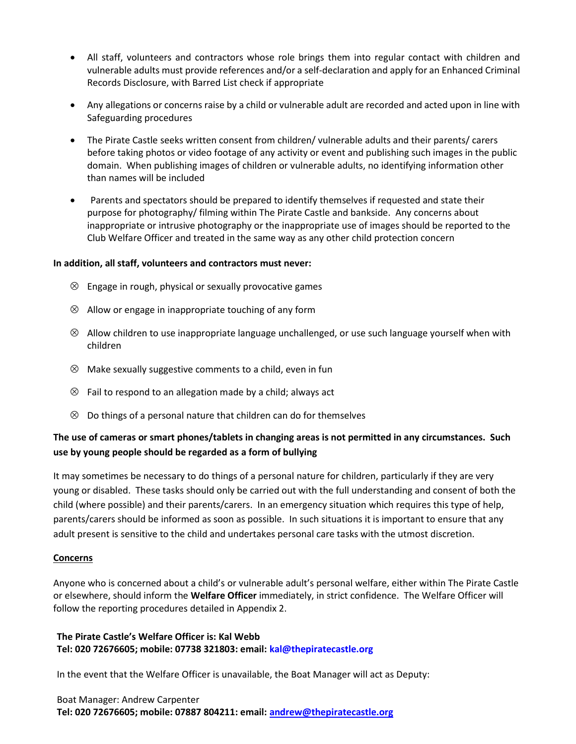- All staff, volunteers and contractors whose role brings them into regular contact with children and vulnerable adults must provide references and/or a self-declaration and apply for an Enhanced Criminal Records Disclosure, with Barred List check if appropriate
- Any allegations or concerns raise by a child or vulnerable adult are recorded and acted upon in line with Safeguarding procedures
- The Pirate Castle seeks written consent from children/ vulnerable adults and their parents/ carers before taking photos or video footage of any activity or event and publishing such images in the public domain. When publishing images of children or vulnerable adults, no identifying information other than names will be included
- Parents and spectators should be prepared to identify themselves if requested and state their purpose for photography/ filming within The Pirate Castle and bankside. Any concerns about inappropriate or intrusive photography or the inappropriate use of images should be reported to the Club Welfare Officer and treated in the same way as any other child protection concern

#### **In addition, all staff, volunteers and contractors must never:**

- $\otimes$  Engage in rough, physical or sexually provocative games
- $\otimes$  Allow or engage in inappropriate touching of any form
- $\otimes$  Allow children to use inappropriate language unchallenged, or use such language yourself when with children
- $\otimes$  Make sexually suggestive comments to a child, even in fun
- $\otimes$  Fail to respond to an allegation made by a child; always act
- $\otimes$  Do things of a personal nature that children can do for themselves

# **The use of cameras or smart phones/tablets in changing areas is not permitted in any circumstances. Such use by young people should be regarded as a form of bullying**

It may sometimes be necessary to do things of a personal nature for children, particularly if they are very young or disabled. These tasks should only be carried out with the full understanding and consent of both the child (where possible) and their parents/carers. In an emergency situation which requires this type of help, parents/carers should be informed as soon as possible. In such situations it is important to ensure that any adult present is sensitive to the child and undertakes personal care tasks with the utmost discretion.

#### **Concerns**

Anyone who is concerned about a child's or vulnerable adult's personal welfare, either within The Pirate Castle or elsewhere, should inform the **Welfare Officer** immediately, in strict confidence. The Welfare Officer will follow the reporting procedures detailed in Appendix 2.

### **The Pirate Castle's Welfare Officer is: Kal Webb Tel: 020 72676605; mobile: 07738 321803: email: [kal@thepiratecastle.org](mailto:kal@thepiratecastle.org)**

In the event that the Welfare Officer is unavailable, the Boat Manager will act as Deputy:

#### Boat Manager: Andrew Carpenter **Tel: 020 72676605; mobile: 07887 804211: email: [andrew@thepiratecastle.org](mailto:andrew@thepiratecastle.org)**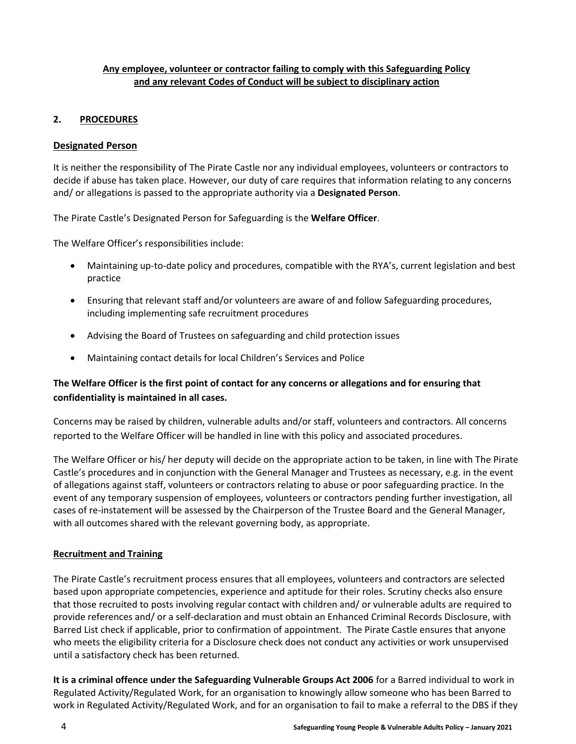### **Any employee, volunteer or contractor failing to comply with this Safeguarding Policy and any relevant Codes of Conduct will be subject to disciplinary action**

### **2. PROCEDURES**

### **Designated Person**

It is neither the responsibility of The Pirate Castle nor any individual employees, volunteers or contractors to decide if abuse has taken place. However, our duty of care requires that information relating to any concerns and/ or allegations is passed to the appropriate authority via a **Designated Person**.

The Pirate Castle's Designated Person for Safeguarding is the **Welfare Officer**.

The Welfare Officer's responsibilities include:

- Maintaining up-to-date policy and procedures, compatible with the RYA's, current legislation and best practice
- Ensuring that relevant staff and/or volunteers are aware of and follow Safeguarding procedures, including implementing safe recruitment procedures
- Advising the Board of Trustees on safeguarding and child protection issues
- Maintaining contact details for local Children's Services and Police

# **The Welfare Officer is the first point of contact for any concerns or allegations and for ensuring that confidentiality is maintained in all cases.**

Concerns may be raised by children, vulnerable adults and/or staff, volunteers and contractors. All concerns reported to the Welfare Officer will be handled in line with this policy and associated procedures.

The Welfare Officer or his/ her deputy will decide on the appropriate action to be taken, in line with The Pirate Castle's procedures and in conjunction with the General Manager and Trustees as necessary, e.g. in the event of allegations against staff, volunteers or contractors relating to abuse or poor safeguarding practice. In the event of any temporary suspension of employees, volunteers or contractors pending further investigation, all cases of re-instatement will be assessed by the Chairperson of the Trustee Board and the General Manager, with all outcomes shared with the relevant governing body, as appropriate.

### **Recruitment and Training**

The Pirate Castle's recruitment process ensures that all employees, volunteers and contractors are selected based upon appropriate competencies, experience and aptitude for their roles. Scrutiny checks also ensure that those recruited to posts involving regular contact with children and/ or vulnerable adults are required to provide references and/ or a self-declaration and must obtain an Enhanced Criminal Records Disclosure, with Barred List check if applicable, prior to confirmation of appointment. The Pirate Castle ensures that anyone who meets the eligibility criteria for a Disclosure check does not conduct any activities or work unsupervised until a satisfactory check has been returned.

**It is a criminal offence under the Safeguarding Vulnerable Groups Act 2006** for a Barred individual to work in Regulated Activity/Regulated Work, for an organisation to knowingly allow someone who has been Barred to work in Regulated Activity/Regulated Work, and for an organisation to fail to make a referral to the DBS if they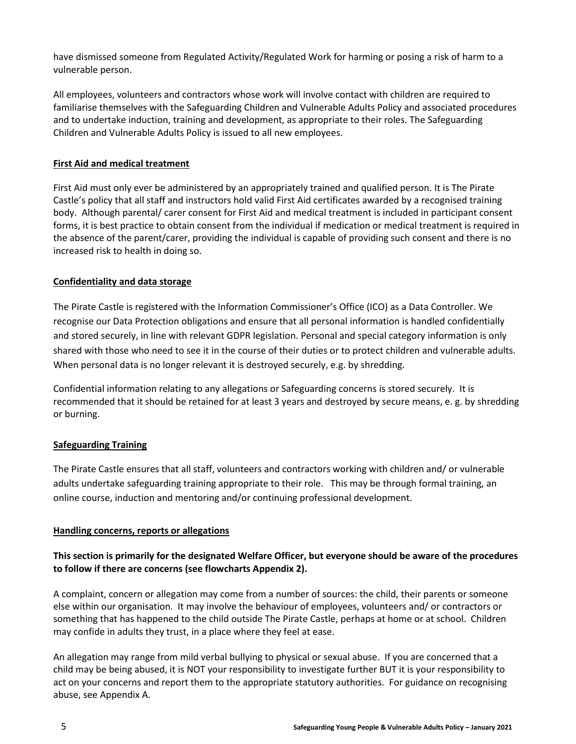have dismissed someone from Regulated Activity/Regulated Work for harming or posing a risk of harm to a vulnerable person.

All employees, volunteers and contractors whose work will involve contact with children are required to familiarise themselves with the Safeguarding Children and Vulnerable Adults Policy and associated procedures and to undertake induction, training and development, as appropriate to their roles. The Safeguarding Children and Vulnerable Adults Policy is issued to all new employees.

### **First Aid and medical treatment**

First Aid must only ever be administered by an appropriately trained and qualified person. It is The Pirate Castle's policy that all staff and instructors hold valid First Aid certificates awarded by a recognised training body. Although parental/ carer consent for First Aid and medical treatment is included in participant consent forms, it is best practice to obtain consent from the individual if medication or medical treatment is required in the absence of the parent/carer, providing the individual is capable of providing such consent and there is no increased risk to health in doing so.

### **Confidentiality and data storage**

The Pirate Castle is registered with the Information Commissioner's Office (ICO) as a Data Controller. We recognise our Data Protection obligations and ensure that all personal information is handled confidentially and stored securely, in line with relevant GDPR legislation. Personal and special category information is only shared with those who need to see it in the course of their duties or to protect children and vulnerable adults. When personal data is no longer relevant it is destroyed securely, e.g. by shredding.

Confidential information relating to any allegations or Safeguarding concerns is stored securely. It is recommended that it should be retained for at least 3 years and destroyed by secure means, e. g. by shredding or burning.

#### **Safeguarding Training**

The Pirate Castle ensures that all staff, volunteers and contractors working with children and/ or vulnerable adults undertake safeguarding training appropriate to their role. This may be through formal training, an online course, induction and mentoring and/or continuing professional development.

#### **Handling concerns, reports or allegations**

### **This section is primarily for the designated Welfare Officer, but everyone should be aware of the procedures to follow if there are concerns (see flowcharts Appendix 2).**

A complaint, concern or allegation may come from a number of sources: the child, their parents or someone else within our organisation. It may involve the behaviour of employees, volunteers and/ or contractors or something that has happened to the child outside The Pirate Castle, perhaps at home or at school. Children may confide in adults they trust, in a place where they feel at ease.

An allegation may range from mild verbal bullying to physical or sexual abuse. If you are concerned that a child may be being abused, it is NOT your responsibility to investigate further BUT it is your responsibility to act on your concerns and report them to the appropriate statutory authorities. For guidance on recognising abuse, see Appendix A.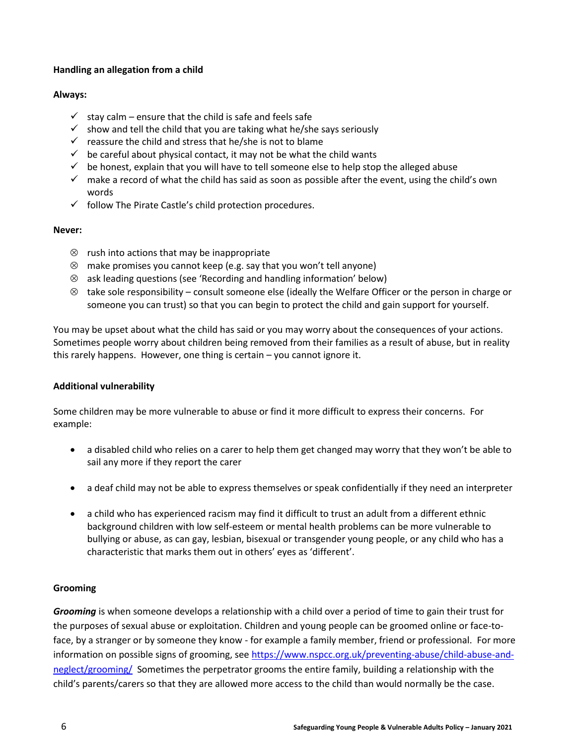### **Handling an allegation from a child**

#### **Always:**

- $\checkmark$  stay calm ensure that the child is safe and feels safe
- $\checkmark$  show and tell the child that you are taking what he/she says seriously
- $\checkmark$  reassure the child and stress that he/she is not to blame
- $\checkmark$  be careful about physical contact, it may not be what the child wants
- $\checkmark$  be honest, explain that you will have to tell someone else to help stop the alleged abuse
- $\checkmark$  make a record of what the child has said as soon as possible after the event, using the child's own words
- $\checkmark$  follow The Pirate Castle's child protection procedures.

#### **Never:**

- $\otimes$  rush into actions that may be inappropriate
- $\otimes$  make promises you cannot keep (e.g. say that you won't tell anyone)
- ask leading questions (see 'Recording and handling information' below)
- $\otimes$  take sole responsibility consult someone else (ideally the Welfare Officer or the person in charge or someone you can trust) so that you can begin to protect the child and gain support for yourself.

You may be upset about what the child has said or you may worry about the consequences of your actions. Sometimes people worry about children being removed from their families as a result of abuse, but in reality this rarely happens. However, one thing is certain – you cannot ignore it.

### **Additional vulnerability**

Some children may be more vulnerable to abuse or find it more difficult to express their concerns. For example:

- a disabled child who relies on a carer to help them get changed may worry that they won't be able to sail any more if they report the carer
- a deaf child may not be able to express themselves or speak confidentially if they need an interpreter
- a child who has experienced racism may find it difficult to trust an adult from a different ethnic background children with low self-esteem or mental health problems can be more vulnerable to bullying or abuse, as can gay, lesbian, bisexual or transgender young people, or any child who has a characteristic that marks them out in others' eyes as 'different'.

### **Grooming**

*Grooming* is when someone develops a relationship with a child over a period of time to gain their trust for the purposes of sexual abuse or exploitation. Children and young people can be groomed online or face-toface, by a stranger or by someone they know - for example a family member, friend or professional. For more information on possible signs of grooming, see [https://www.nspcc.org.uk/preventing-abuse/child-abuse-and](https://www.nspcc.org.uk/preventing-abuse/child-abuse-and-neglect/grooming/)[neglect/grooming/](https://www.nspcc.org.uk/preventing-abuse/child-abuse-and-neglect/grooming/) Sometimes the perpetrator grooms the entire family, building a relationship with the child's parents/carers so that they are allowed more access to the child than would normally be the case.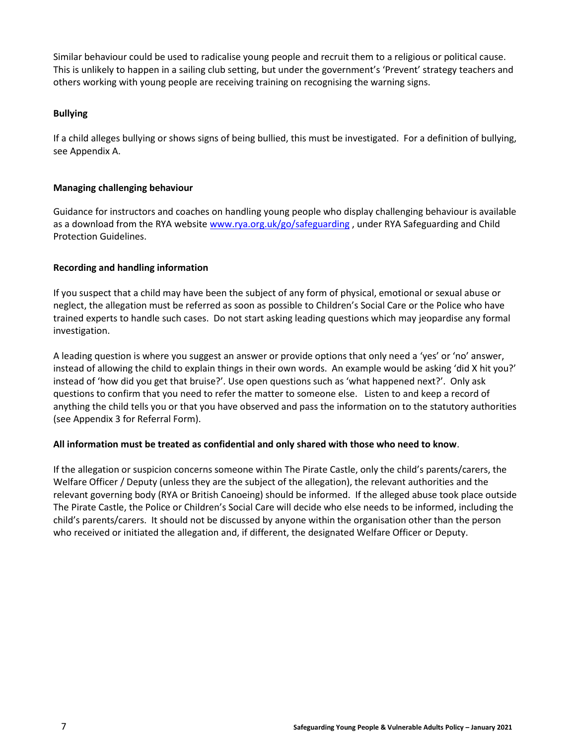Similar behaviour could be used to radicalise young people and recruit them to a religious or political cause. This is unlikely to happen in a sailing club setting, but under the government's 'Prevent' strategy teachers and others working with young people are receiving training on recognising the warning signs.

#### **Bullying**

If a child alleges bullying or shows signs of being bullied, this must be investigated. For a definition of bullying, see Appendix A.

#### **Managing challenging behaviour**

Guidance for instructors and coaches on handling young people who display challenging behaviour is available as a download from the RYA website [www.rya.org.uk/go/safeguarding](http://www.rya.org.uk/go/safeguarding), under RYA Safeguarding and Child Protection Guidelines.

### **Recording and handling information**

If you suspect that a child may have been the subject of any form of physical, emotional or sexual abuse or neglect, the allegation must be referred as soon as possible to Children's Social Care or the Police who have trained experts to handle such cases. Do not start asking leading questions which may jeopardise any formal investigation.

A leading question is where you suggest an answer or provide options that only need a 'yes' or 'no' answer, instead of allowing the child to explain things in their own words. An example would be asking 'did X hit you?' instead of 'how did you get that bruise?'. Use open questions such as 'what happened next?'. Only ask questions to confirm that you need to refer the matter to someone else. Listen to and keep a record of anything the child tells you or that you have observed and pass the information on to the statutory authorities (see Appendix 3 for Referral Form).

#### **All information must be treated as confidential and only shared with those who need to know**.

If the allegation or suspicion concerns someone within The Pirate Castle, only the child's parents/carers, the Welfare Officer / Deputy (unless they are the subject of the allegation), the relevant authorities and the relevant governing body (RYA or British Canoeing) should be informed. If the alleged abuse took place outside The Pirate Castle, the Police or Children's Social Care will decide who else needs to be informed, including the child's parents/carers. It should not be discussed by anyone within the organisation other than the person who received or initiated the allegation and, if different, the designated Welfare Officer or Deputy.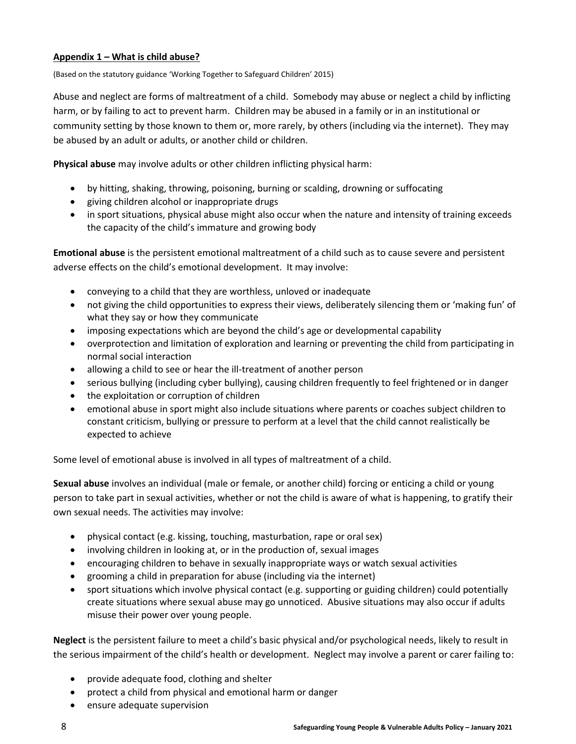### **Appendix 1 – What is child abuse?**

(Based on the statutory guidance 'Working Together to Safeguard Children' 2015)

Abuse and neglect are forms of maltreatment of a child. Somebody may abuse or neglect a child by inflicting harm, or by failing to act to prevent harm. Children may be abused in a family or in an institutional or community setting by those known to them or, more rarely, by others (including via the internet). They may be abused by an adult or adults, or another child or children.

**Physical abuse** may involve adults or other children inflicting physical harm:

- by hitting, shaking, throwing, poisoning, burning or scalding, drowning or suffocating
- giving children alcohol or inappropriate drugs
- in sport situations, physical abuse might also occur when the nature and intensity of training exceeds the capacity of the child's immature and growing body

**Emotional abuse** is the persistent emotional maltreatment of a child such as to cause severe and persistent adverse effects on the child's emotional development. It may involve:

- conveying to a child that they are worthless, unloved or inadequate
- not giving the child opportunities to express their views, deliberately silencing them or 'making fun' of what they say or how they communicate
- imposing expectations which are beyond the child's age or developmental capability
- overprotection and limitation of exploration and learning or preventing the child from participating in normal social interaction
- allowing a child to see or hear the ill-treatment of another person
- serious bullying (including cyber bullying), causing children frequently to feel frightened or in danger
- the exploitation or corruption of children
- emotional abuse in sport might also include situations where parents or coaches subject children to constant criticism, bullying or pressure to perform at a level that the child cannot realistically be expected to achieve

Some level of emotional abuse is involved in all types of maltreatment of a child.

**Sexual abuse** involves an individual (male or female, or another child) forcing or enticing a child or young person to take part in sexual activities, whether or not the child is aware of what is happening, to gratify their own sexual needs. The activities may involve:

- physical contact (e.g. kissing, touching, masturbation, rape or oral sex)
- involving children in looking at, or in the production of, sexual images
- encouraging children to behave in sexually inappropriate ways or watch sexual activities
- grooming a child in preparation for abuse (including via the internet)
- sport situations which involve physical contact (e.g. supporting or guiding children) could potentially create situations where sexual abuse may go unnoticed. Abusive situations may also occur if adults misuse their power over young people.

**Neglect** is the persistent failure to meet a child's basic physical and/or psychological needs, likely to result in the serious impairment of the child's health or development. Neglect may involve a parent or carer failing to:

- provide adequate food, clothing and shelter
- protect a child from physical and emotional harm or danger
- ensure adequate supervision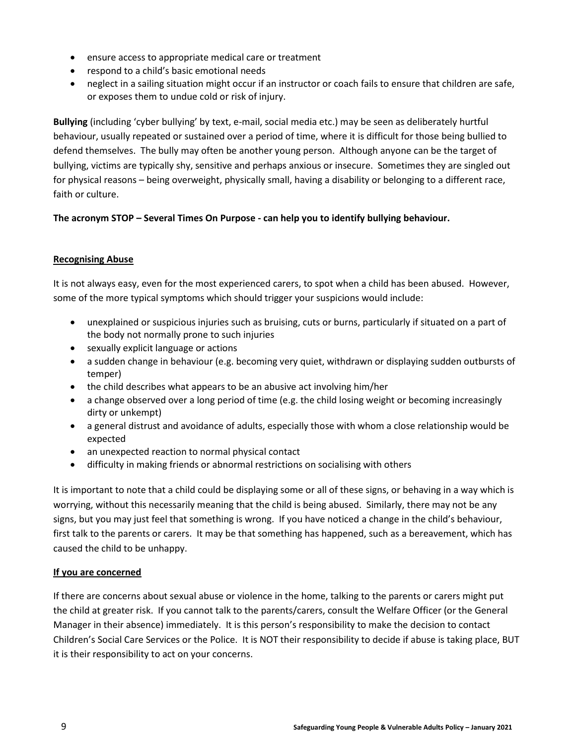- ensure access to appropriate medical care or treatment
- respond to a child's basic emotional needs
- neglect in a sailing situation might occur if an instructor or coach fails to ensure that children are safe, or exposes them to undue cold or risk of injury.

**Bullying** (including 'cyber bullying' by text, e-mail, social media etc.) may be seen as deliberately hurtful behaviour, usually repeated or sustained over a period of time, where it is difficult for those being bullied to defend themselves. The bully may often be another young person. Although anyone can be the target of bullying, victims are typically shy, sensitive and perhaps anxious or insecure. Sometimes they are singled out for physical reasons – being overweight, physically small, having a disability or belonging to a different race, faith or culture.

### **The acronym STOP – Several Times On Purpose - can help you to identify bullying behaviour.**

#### **Recognising Abuse**

It is not always easy, even for the most experienced carers, to spot when a child has been abused. However, some of the more typical symptoms which should trigger your suspicions would include:

- unexplained or suspicious injuries such as bruising, cuts or burns, particularly if situated on a part of the body not normally prone to such injuries
- sexually explicit language or actions
- a sudden change in behaviour (e.g. becoming very quiet, withdrawn or displaying sudden outbursts of temper)
- the child describes what appears to be an abusive act involving him/her
- a change observed over a long period of time (e.g. the child losing weight or becoming increasingly dirty or unkempt)
- a general distrust and avoidance of adults, especially those with whom a close relationship would be expected
- an unexpected reaction to normal physical contact
- difficulty in making friends or abnormal restrictions on socialising with others

It is important to note that a child could be displaying some or all of these signs, or behaving in a way which is worrying, without this necessarily meaning that the child is being abused. Similarly, there may not be any signs, but you may just feel that something is wrong. If you have noticed a change in the child's behaviour, first talk to the parents or carers. It may be that something has happened, such as a bereavement, which has caused the child to be unhappy.

#### **If you are concerned**

If there are concerns about sexual abuse or violence in the home, talking to the parents or carers might put the child at greater risk. If you cannot talk to the parents/carers, consult the Welfare Officer (or the General Manager in their absence) immediately. It is this person's responsibility to make the decision to contact Children's Social Care Services or the Police. It is NOT their responsibility to decide if abuse is taking place, BUT it is their responsibility to act on your concerns.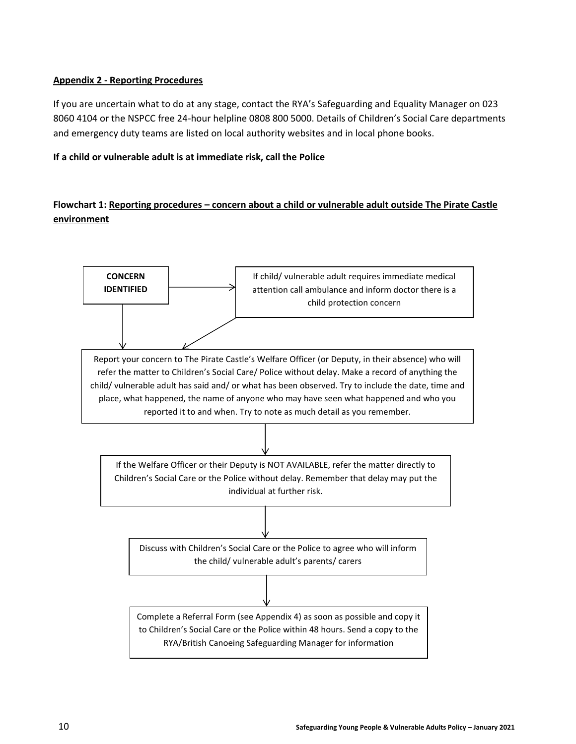### **Appendix 2 - Reporting Procedures**

If you are uncertain what to do at any stage, contact the RYA's Safeguarding and Equality Manager on 023 8060 4104 or the NSPCC free 24-hour helpline 0808 800 5000. Details of Children's Social Care departments and emergency duty teams are listed on local authority websites and in local phone books.

#### **If a child or vulnerable adult is at immediate risk, call the Police**

# **Flowchart 1: Reporting procedures – concern about a child or vulnerable adult outside The Pirate Castle environment**

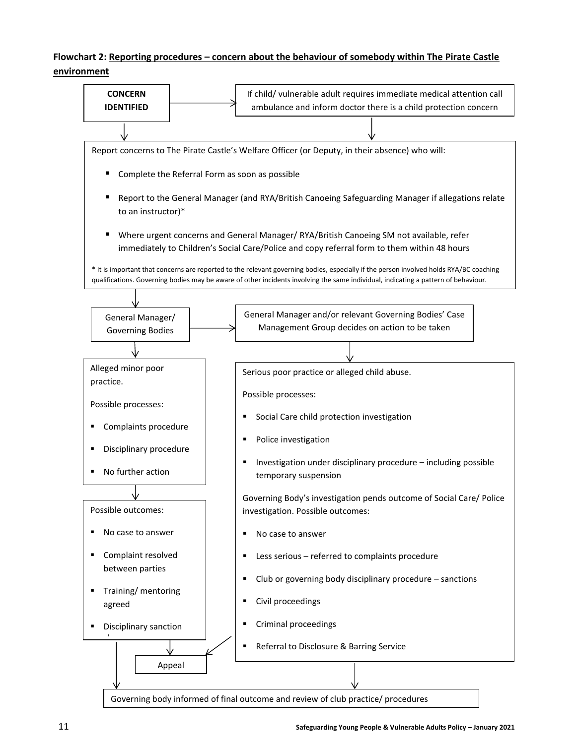# **Flowchart 2: Reporting procedures – concern about the behaviour of somebody within The Pirate Castle environment**

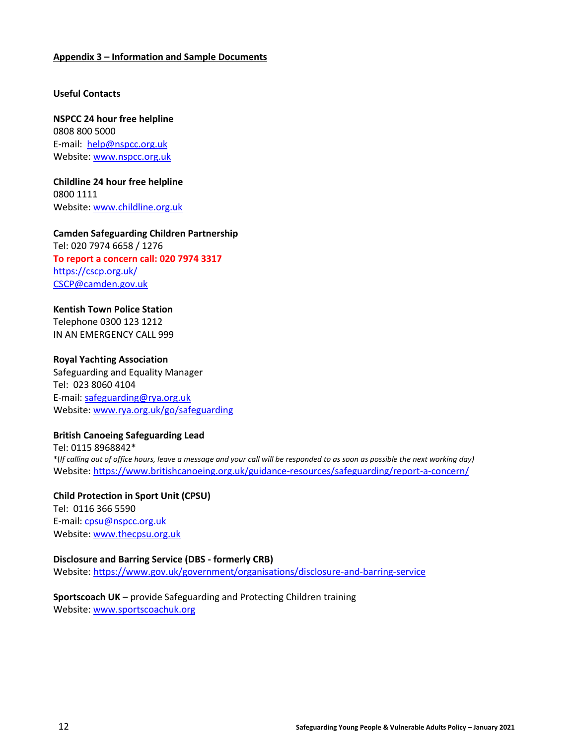#### **Appendix 3 – Information and Sample Documents**

#### **Useful Contacts**

**NSPCC 24 hour free helpline** 0808 800 5000 E-mail: [help@nspcc.org.uk](mailto:help@nspcc.org.uk) Website: [www.nspcc.org.uk](http://www.nspcc.org.uk/)

**Childline 24 hour free helpline** 0800 1111 Website: [www.childline.org.uk](http://www.childline.org.uk/)

#### **Camden Safeguarding Children Partnership**

Tel: 020 7974 6658 / 1276 **To report a concern call: 020 7974 3317** <https://cscp.org.uk/> [CSCP@camden.gov.uk](mailto:CSCP@camden.gov.uk)

#### **Kentish Town Police Station**

Telephone 0300 123 1212 IN AN EMERGENCY CALL 999

#### **Royal Yachting Association**

Safeguarding and Equality Manager Tel: 023 8060 4104 E-mail: [safeguarding@rya.org.uk](mailto:safeguarding@rya.org.uk) Website: [www.rya.org.uk/go/safeguarding](http://www.rya.org.uk/go/childprotection)

#### **British Canoeing Safeguarding Lead**

Tel: 0115 8968842\* \*(*If calling out of office hours, leave a message and your call will be responded to as soon as possible the next working day)* Website:<https://www.britishcanoeing.org.uk/guidance-resources/safeguarding/report-a-concern/>

**Child Protection in Sport Unit (CPSU)** Tel: 0116 366 5590 E-mail: [cpsu@nspcc.org.uk](mailto:cpsu@nspcc.org.uk) Website: [www.thecpsu.org.uk](http://www.thecpsu.org.uk/)

#### **Disclosure and Barring Service (DBS - formerly CRB)**

Website:<https://www.gov.uk/government/organisations/disclosure-and-barring-service>

#### **Sportscoach UK** – provide Safeguarding and Protecting Children training Website: [www.sportscoachuk.org](http://www.sportscoachuk.org/)